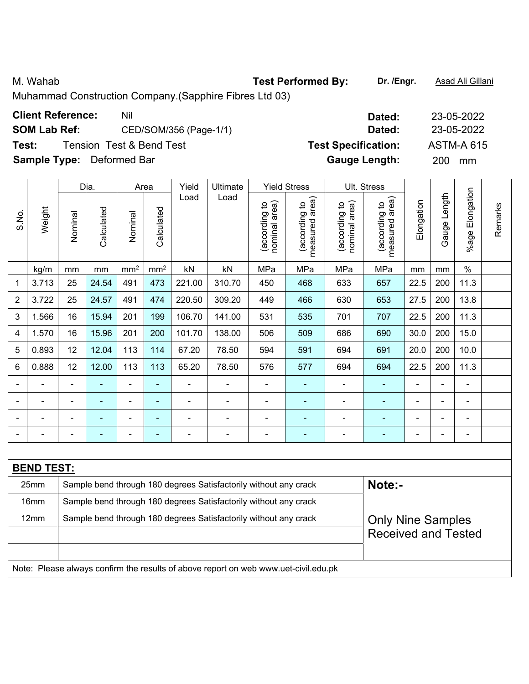M. Wahab **Test Performed By: Dr. /Engr.** Asad Ali Gillani

Muhammad Construction Company.(Sapphire Fibres Ltd 03)

|                | <b>Client Reference:</b>         |         |                                     | Nil             |                 |                        |          |                                            |                                      |                                              | Dated:                                      |            |                   | 23-05-2022            |         |  |
|----------------|----------------------------------|---------|-------------------------------------|-----------------|-----------------|------------------------|----------|--------------------------------------------|--------------------------------------|----------------------------------------------|---------------------------------------------|------------|-------------------|-----------------------|---------|--|
|                | <b>SOM Lab Ref:</b>              |         |                                     |                 |                 | CED/SOM/356 (Page-1/1) |          | Dated:                                     |                                      |                                              |                                             |            |                   | 23-05-2022            |         |  |
| Test:          |                                  |         | <b>Tension Test &amp; Bend Test</b> |                 |                 |                        |          |                                            | <b>Test Specification:</b>           |                                              |                                             |            | <b>ASTM-A 615</b> |                       |         |  |
|                | <b>Sample Type:</b> Deformed Bar |         |                                     |                 |                 |                        |          |                                            |                                      |                                              | <b>Gauge Length:</b>                        |            | 200               | mm                    |         |  |
|                |                                  |         | Dia.                                |                 | Area            | Yield                  | Ultimate |                                            | <b>Yield Stress</b>                  |                                              | Ult. Stress                                 |            |                   |                       |         |  |
| S.No.          | Weight                           | Nominal | Calculated                          | Nominal         | Calculated      | Load                   | Load     | area)<br><u>م</u><br>(according<br>nominal | area)<br>ೆ<br>(according<br>measured | area)<br><u>ุ ٥</u><br>(according<br>nominal | area)<br><u>م</u><br>(according<br>measured | Elongation | Length<br>Gauge   | Elongation<br>$%$ age | Remarks |  |
|                | kg/m                             | mm      | mm                                  | mm <sup>2</sup> | mm <sup>2</sup> | kN                     | kN       | MPa                                        | MPa                                  | MPa                                          | MPa                                         | mm         | mm                | $\%$                  |         |  |
| 1              | 3.713                            | 25      | 24.54                               | 491             | 473             | 221.00                 | 310.70   | 450                                        | 468                                  | 633                                          | 657                                         | 22.5       | 200               | 11.3                  |         |  |
| $\overline{2}$ | 3.722                            | 25      | 24.57                               | 491             | 474             | 220.50                 | 309.20   | 449                                        | 466                                  | 630                                          | 653                                         | 27.5       | 200               | 13.8                  |         |  |
| 3              | 1.566                            | 16      | 15.94                               | 201             | 199             | 106.70                 | 141.00   | 531                                        | 535                                  | 701                                          | 707                                         | 22.5       | 200               | 11.3                  |         |  |
| 4              | 1.570                            | 16      | 15.96                               | 201             | 200             | 101.70                 | 138.00   | 506                                        | 509                                  | 686                                          | 690                                         | 30.0       | 200               | 15.0                  |         |  |

5 0.893 12 12.04 113 114 67.20 78.50 594 591 694 691 20.0 200 10.0 6 | 0.888 | 12 | 12.00 | 113 | 113 | 65.20 | 78.50 | 576 | 577 | 694 | 694 | 22.5 | 200 | 11.3 - - - - - - - - - - - - - - - - - - - - - - - - - - - - - - - - - - - - - - - - - - - - - - - - - - - - - - - - - - - -

|                                                                                                                  | <b>BEND TEST:</b>          |                                                                  |        |  |  |  |  |  |  |  |
|------------------------------------------------------------------------------------------------------------------|----------------------------|------------------------------------------------------------------|--------|--|--|--|--|--|--|--|
| 25mm                                                                                                             |                            | Sample bend through 180 degrees Satisfactorily without any crack | Note:- |  |  |  |  |  |  |  |
| Sample bend through 180 degrees Satisfactorily without any crack<br>16 <sub>mm</sub>                             |                            |                                                                  |        |  |  |  |  |  |  |  |
| Sample bend through 180 degrees Satisfactorily without any crack<br>12 <sub>mm</sub><br><b>Only Nine Samples</b> |                            |                                                                  |        |  |  |  |  |  |  |  |
|                                                                                                                  | <b>Received and Tested</b> |                                                                  |        |  |  |  |  |  |  |  |
|                                                                                                                  |                            |                                                                  |        |  |  |  |  |  |  |  |
| Note: Please always confirm the results of above report on web www.uet-civil.edu.pk                              |                            |                                                                  |        |  |  |  |  |  |  |  |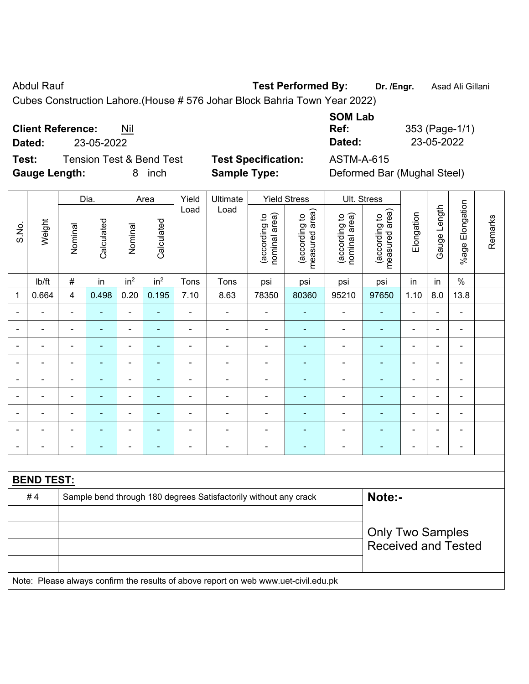Abdul Rauf **Test Performed By:** Dr. /Engr. **Asad Ali Gillani** Abdul Rauf Asad Ali Gillani

Cubes Construction Lahore.(House # 576 Johar Block Bahria Town Year 2022)

**Client Reference:** Nil

**Dated:** 23-05-2022 **Dated:** 23-05-2022

**Test:** Tension Test & Bend Test **Test Specification:** ASTM-A-615 **Gauge Length:** 8 inch **Sample Type:** Deformed Bar (Mughal Steel)

| <b>SOM Lab</b> |                |
|----------------|----------------|
| Ref:           | 353 (Page-1/1) |
| Dated:         | 23-05-2022     |

|                          |                                                                                     |                | Dia.           |                              | Area                     |                | Yield<br>Ultimate                                                |                                | <b>Yield Stress</b>             |                                | Ult. Stress                     |                |                |                 |         |
|--------------------------|-------------------------------------------------------------------------------------|----------------|----------------|------------------------------|--------------------------|----------------|------------------------------------------------------------------|--------------------------------|---------------------------------|--------------------------------|---------------------------------|----------------|----------------|-----------------|---------|
| S.No.                    | Weight                                                                              | Nominal        | Calculated     | Nominal                      | Calculated               | Load           | Load                                                             | (according to<br>nominal area) | measured area)<br>(according to | nominal area)<br>(according to | measured area)<br>(according to | Elongation     | Gauge Length   | %age Elongation | Remarks |
|                          | lb/ft                                                                               | $\#$           | in             | in <sup>2</sup>              | in <sup>2</sup>          | Tons           | Tons                                                             | psi                            | psi                             | psi                            | psi                             | in             | in             | $\%$            |         |
| 1                        | 0.664                                                                               | 4              | 0.498          | 0.20                         | 0.195                    | 7.10           | 8.63                                                             | 78350                          | 80360                           | 95210                          | 97650                           | 1.10           | 8.0            | 13.8            |         |
| $\blacksquare$           |                                                                                     | $\blacksquare$ | $\blacksquare$ | ÷,                           | $\blacksquare$           | $\blacksquare$ | ÷                                                                | $\blacksquare$                 | ÷                               | $\blacksquare$                 | $\blacksquare$                  | $\blacksquare$ | $\blacksquare$ | $\blacksquare$  |         |
|                          |                                                                                     |                |                | $\blacksquare$               |                          |                | ÷                                                                |                                |                                 | $\blacksquare$                 | $\blacksquare$                  |                | L.             | $\blacksquare$  |         |
| ۰                        |                                                                                     |                |                | ÷                            |                          |                | ÷                                                                |                                |                                 | ÷                              |                                 |                | ÷              | $\blacksquare$  |         |
| $\blacksquare$           |                                                                                     | $\blacksquare$ |                | ÷                            |                          | $\blacksquare$ | $\blacksquare$                                                   | $\blacksquare$                 |                                 | ÷                              | ÷,                              | $\blacksquare$ | $\blacksquare$ | $\blacksquare$  |         |
| ä,                       |                                                                                     | $\blacksquare$ | ä,             | ÷                            | $\blacksquare$           | L,             | $\blacksquare$                                                   | $\blacksquare$                 | $\blacksquare$                  | $\blacksquare$                 | $\blacksquare$                  | $\blacksquare$ | ÷,             | $\blacksquare$  |         |
| $\overline{\phantom{a}}$ |                                                                                     | $\blacksquare$ | $\blacksquare$ | $\qquad \qquad \blacksquare$ | $\overline{\phantom{a}}$ | ä,             | ÷                                                                | $\blacksquare$                 | ÷                               | ÷,                             | $\blacksquare$                  | Ē,             | $\blacksquare$ | $\blacksquare$  |         |
|                          |                                                                                     | $\blacksquare$ | $\blacksquare$ | $\qquad \qquad \blacksquare$ | $\overline{\phantom{a}}$ | $\blacksquare$ | ÷                                                                | $\blacksquare$                 | $\blacksquare$                  | Ĭ.                             | ÷,                              | L,             | ÷              | $\blacksquare$  |         |
|                          |                                                                                     |                |                |                              |                          |                |                                                                  |                                |                                 |                                | $\blacksquare$                  |                |                |                 |         |
| ۰                        |                                                                                     |                |                |                              |                          |                | ÷                                                                |                                |                                 |                                | $\overline{\phantom{a}}$        |                | ÷              | $\blacksquare$  |         |
|                          |                                                                                     |                |                |                              |                          |                |                                                                  |                                |                                 |                                |                                 |                |                |                 |         |
|                          | <b>BEND TEST:</b>                                                                   |                |                |                              |                          |                |                                                                  |                                |                                 |                                |                                 |                |                |                 |         |
|                          | #4                                                                                  |                |                |                              |                          |                | Sample bend through 180 degrees Satisfactorily without any crack |                                |                                 |                                | Note:-                          |                |                |                 |         |
|                          |                                                                                     |                |                |                              |                          |                |                                                                  |                                |                                 |                                |                                 |                |                |                 |         |
|                          |                                                                                     |                |                |                              |                          |                |                                                                  |                                |                                 |                                | <b>Only Two Samples</b>         |                |                |                 |         |
|                          |                                                                                     |                |                |                              |                          |                |                                                                  |                                |                                 |                                | <b>Received and Tested</b>      |                |                |                 |         |
|                          |                                                                                     |                |                |                              |                          |                |                                                                  |                                |                                 |                                |                                 |                |                |                 |         |
|                          | Note: Please always confirm the results of above report on web www.uet-civil.edu.pk |                |                |                              |                          |                |                                                                  |                                |                                 |                                |                                 |                |                |                 |         |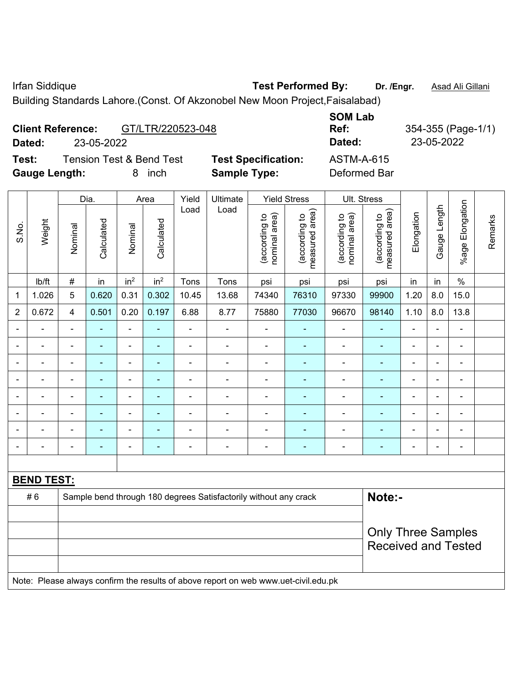Irfan Siddique **Test Performed By: Dr. /Engr.** Asad Ali Gillani

Building Standards Lahore.(Const. Of Akzonobel New Moon Project,Faisalabad)

## **Client Reference:** GT/LTR/220523-048

**Dated:** 23-05-2022 **Dated:** 23-05-2022

**Test:** Tension Test & Bend Test **Test Specification:** ASTM-A-615 **Gauge Length:** 8 inch **Sample Type:** Deformed Bar

| <b>SOM Lab</b><br>Ref: |
|------------------------|
| Dated:                 |
| ASTM-A-6               |

**Ref:** 354-355 (Page-1/1)

|                |                                                                                     |                |                | Dia.<br>Area                 |                 | Yield<br>Ultimate | <b>Yield Stress</b>      |                                |                                 | Ult. Stress                    |                                 |                |                |                          |         |
|----------------|-------------------------------------------------------------------------------------|----------------|----------------|------------------------------|-----------------|-------------------|--------------------------|--------------------------------|---------------------------------|--------------------------------|---------------------------------|----------------|----------------|--------------------------|---------|
| S.No.          | Weight                                                                              | Nominal        | Calculated     | Nominal                      | Calculated      | Load              | Load                     | nominal area)<br>(according to | (according to<br>measured area) | (according to<br>nominal area) | (according to<br>measured area) | Elongation     | Gauge Length   | Elongation<br>%age I     | Remarks |
|                | lb/ft                                                                               | $\#$           | in             | in <sup>2</sup>              | in <sup>2</sup> | Tons              | Tons                     | psi                            | psi                             | psi                            | psi                             | in             | in             | $\frac{0}{0}$            |         |
| 1              | 1.026                                                                               | 5              | 0.620          | 0.31                         | 0.302           | 10.45             | 13.68                    | 74340                          | 76310                           | 97330                          | 99900                           | 1.20           | 8.0            | 15.0                     |         |
| $\overline{2}$ | 0.672                                                                               | $\overline{4}$ | 0.501          | 0.20                         | 0.197           | 6.88              | 8.77                     | 75880                          | 77030                           | 96670                          | 98140                           | 1.10           | 8.0            | 13.8                     |         |
|                |                                                                                     | $\blacksquare$ |                | $\blacksquare$               |                 | ÷                 | $\blacksquare$           | $\blacksquare$                 |                                 |                                |                                 | L,             |                | $\blacksquare$           |         |
|                |                                                                                     | $\blacksquare$ | $\blacksquare$ | $\qquad \qquad \blacksquare$ | $\blacksquare$  | $\blacksquare$    | $\overline{\phantom{a}}$ | $\blacksquare$                 | $\blacksquare$                  | $\blacksquare$                 | $\blacksquare$                  | Ē,             | $\blacksquare$ | $\blacksquare$           |         |
| $\blacksquare$ | ۰                                                                                   | $\blacksquare$ | $\blacksquare$ | $\blacksquare$               | $\blacksquare$  | ÷                 | $\overline{\phantom{a}}$ | $\blacksquare$                 | $\blacksquare$                  | $\blacksquare$                 | $\blacksquare$                  | $\blacksquare$ | $\blacksquare$ | $\blacksquare$           |         |
|                |                                                                                     | ä,             | $\blacksquare$ | $\overline{\phantom{0}}$     | ٠               | ÷                 | $\overline{a}$           | $\blacksquare$                 | ٠                               | $\overline{a}$                 | $\blacksquare$                  | Ē,             |                | $\blacksquare$           |         |
|                |                                                                                     | L,             | ä,             | $\blacksquare$               | Ē.              | $\blacksquare$    | $\blacksquare$           | $\blacksquare$                 | ۰                               | $\blacksquare$                 | $\blacksquare$                  | ä,             |                | ä,                       |         |
|                |                                                                                     |                | ٠              | $\blacksquare$               |                 | $\blacksquare$    | $\blacksquare$           | $\blacksquare$                 |                                 | $\blacksquare$                 |                                 |                |                | Ē,                       |         |
|                |                                                                                     |                | ٠              | $\overline{a}$               |                 | $\blacksquare$    | $\blacksquare$           | $\qquad \qquad \blacksquare$   | $\overline{\phantom{0}}$        | $\overline{\phantom{0}}$       | $\overline{\phantom{a}}$        |                |                | $\overline{\phantom{a}}$ |         |
|                |                                                                                     | $\blacksquare$ | $\blacksquare$ | $\qquad \qquad \blacksquare$ | $\overline{a}$  | ÷                 | $\overline{a}$           | $\blacksquare$                 | $\qquad \qquad \blacksquare$    | $\blacksquare$                 | $\blacksquare$                  | $\blacksquare$ |                | $\blacksquare$           |         |
|                |                                                                                     |                |                |                              |                 |                   |                          |                                |                                 |                                |                                 |                |                |                          |         |
|                | <b>BEND TEST:</b>                                                                   |                |                |                              |                 |                   |                          |                                |                                 |                                |                                 |                |                |                          |         |
|                | #6<br>Sample bend through 180 degrees Satisfactorily without any crack              |                |                |                              |                 |                   |                          |                                |                                 |                                | Note:-                          |                |                |                          |         |
|                |                                                                                     |                |                |                              |                 |                   |                          |                                |                                 |                                |                                 |                |                |                          |         |
|                |                                                                                     |                |                |                              |                 |                   |                          |                                |                                 |                                | <b>Only Three Samples</b>       |                |                |                          |         |
|                |                                                                                     |                |                |                              |                 |                   |                          |                                |                                 |                                | <b>Received and Tested</b>      |                |                |                          |         |
|                |                                                                                     |                |                |                              |                 |                   |                          |                                |                                 |                                |                                 |                |                |                          |         |
|                | Note: Please always confirm the results of above report on web www.uet-civil.edu.pk |                |                |                              |                 |                   |                          |                                |                                 |                                |                                 |                |                |                          |         |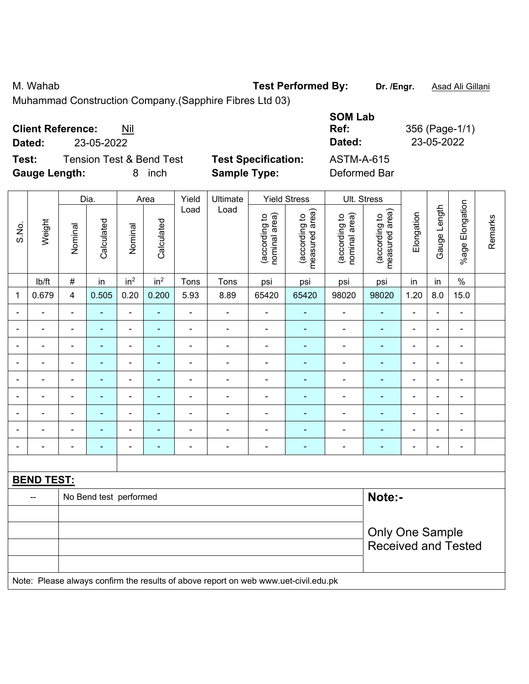M. Wahab **Test Performed By:** Dr. /Engr. **Asad Ali Gillani** 

Muhammad Construction Company.(Sapphire Fibres Ltd 03)

| <b>Client Reference:</b><br>Nil              |                            | <b>SOM Lab</b><br>Ref: | 356 (Page-1/1) |
|----------------------------------------------|----------------------------|------------------------|----------------|
| 23-05-2022<br>Dated:                         |                            | Dated:                 | 23-05-2022     |
| <b>Tension Test &amp; Bend Test</b><br>Test: | <b>Test Specification:</b> | ASTM-A-615             |                |
| <b>Gauge Length:</b><br>inch<br>8.           | <b>Sample Type:</b>        | Deformed Bar           |                |

|                | Weight                                                                              |                | Dia.                   |                          | Area            | Yield                    | Ultimate                 |                                | <b>Yield Stress</b>             |                                | Ult. Stress                     |                |                |                 |         |
|----------------|-------------------------------------------------------------------------------------|----------------|------------------------|--------------------------|-----------------|--------------------------|--------------------------|--------------------------------|---------------------------------|--------------------------------|---------------------------------|----------------|----------------|-----------------|---------|
| S.No.          |                                                                                     | Nominal        | Calculated             | Nominal                  | Calculated      | Load                     | Load                     | nominal area)<br>(according to | measured area)<br>(according to | nominal area)<br>(according to | (according to<br>measured area) | Elongation     | Gauge Length   | %age Elongation | Remarks |
|                | lb/ft                                                                               | $\#$           | in                     | in <sup>2</sup>          | in <sup>2</sup> | Tons                     | Tons                     | psi                            | psi                             | psi                            | psi                             | in             | in             | $\%$            |         |
| 1              | 0.679                                                                               | 4              | 0.505                  | 0.20                     | 0.200           | 5.93                     | 8.89                     | 65420                          | 65420                           | 98020                          | 98020                           | 1.20           | 8.0            | 15.0            |         |
| $\blacksquare$ | ÷.                                                                                  | $\blacksquare$ | $\blacksquare$         | ÷                        | $\blacksquare$  | $\blacksquare$           | ä,                       | $\blacksquare$                 | $\blacksquare$                  | $\blacksquare$                 | $\blacksquare$                  | $\blacksquare$ | $\blacksquare$ | $\blacksquare$  |         |
|                | $\overline{\phantom{a}}$                                                            | $\blacksquare$ | ٠                      | $\overline{\phantom{0}}$ | $\blacksquare$  | $\overline{\phantom{a}}$ | $\overline{\phantom{a}}$ | $\overline{\phantom{a}}$       | $\blacksquare$                  | $\blacksquare$                 | $\blacksquare$                  | $\blacksquare$ | $\blacksquare$ | $\blacksquare$  |         |
|                | $\blacksquare$                                                                      | $\blacksquare$ | $\blacksquare$         | $\blacksquare$           | $\blacksquare$  | $\blacksquare$           | ÷                        | $\blacksquare$                 |                                 | $\blacksquare$                 | $\blacksquare$                  | ä,             | $\blacksquare$ | $\blacksquare$  |         |
| ٠              | $\frac{1}{2}$                                                                       | $\blacksquare$ | $\blacksquare$         | ÷                        | $\blacksquare$  | $\blacksquare$           | $\blacksquare$           | ÷,                             | ÷                               | $\blacksquare$                 | $\blacksquare$                  | ä,             | $\blacksquare$ | ÷,              |         |
|                | $\blacksquare$                                                                      |                |                        | ÷                        |                 | ä,                       | Ē,                       |                                |                                 | ä,                             |                                 |                |                | $\blacksquare$  |         |
|                |                                                                                     |                | $\blacksquare$         | $\overline{\phantom{0}}$ | ۰               | $\blacksquare$           | ä,                       | $\blacksquare$                 |                                 | $\blacksquare$                 | $\blacksquare$                  | $\blacksquare$ |                | $\blacksquare$  |         |
|                |                                                                                     |                |                        | $\overline{a}$           |                 |                          | ÷                        |                                |                                 |                                |                                 |                |                |                 |         |
| $\blacksquare$ | $\blacksquare$                                                                      | $\blacksquare$ | $\blacksquare$         | $\overline{a}$           | ۰               |                          | ÷                        | $\blacksquare$                 | $\overline{a}$                  | $\overline{\phantom{a}}$       | $\blacksquare$                  | $\blacksquare$ |                | $\blacksquare$  |         |
| $\blacksquare$ | $\blacksquare$                                                                      | $\blacksquare$ | $\blacksquare$         | $\blacksquare$           | ۰               | $\blacksquare$           | ä,                       | ä,                             | ٠                               | $\blacksquare$                 | $\blacksquare$                  | Ē,             | $\blacksquare$ | $\blacksquare$  |         |
|                |                                                                                     |                |                        |                          |                 |                          |                          |                                |                                 |                                |                                 |                |                |                 |         |
|                | <b>BEND TEST:</b>                                                                   |                |                        |                          |                 |                          |                          |                                |                                 |                                |                                 |                |                |                 |         |
|                | --                                                                                  |                | No Bend test performed |                          |                 |                          |                          |                                |                                 |                                | Note:-                          |                |                |                 |         |
|                |                                                                                     |                |                        |                          |                 |                          |                          |                                |                                 |                                |                                 |                |                |                 |         |
|                |                                                                                     |                |                        |                          |                 |                          |                          |                                |                                 |                                | Only One Sample                 |                |                |                 |         |
|                |                                                                                     |                |                        |                          |                 |                          |                          |                                |                                 |                                | <b>Received and Tested</b>      |                |                |                 |         |
|                |                                                                                     |                |                        |                          |                 |                          |                          |                                |                                 |                                |                                 |                |                |                 |         |
|                | Note: Please always confirm the results of above report on web www.uet-civil.edu.pk |                |                        |                          |                 |                          |                          |                                |                                 |                                |                                 |                |                |                 |         |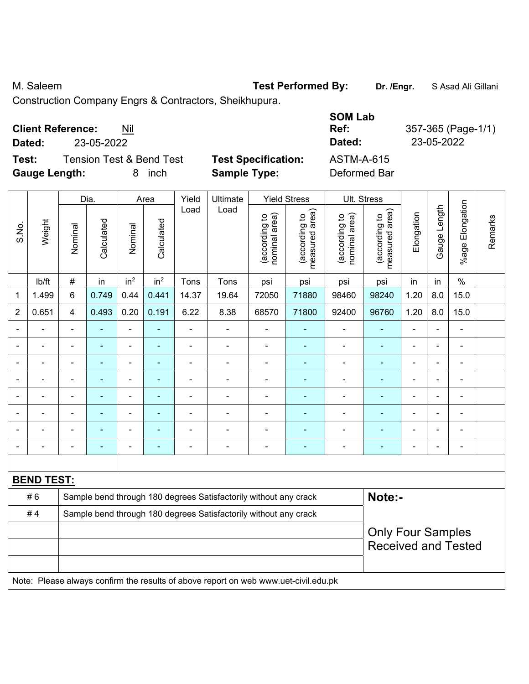M. Saleem **Test Performed By:** Dr. /Engr. **SAsad Ali Gillani** By: Dr. /Engr. **SAsad Ali Gillani** 

Construction Company Engrs & Contractors, Sheikhupura.

| <b>Client Reference:</b> | Nil |
|--------------------------|-----|
|--------------------------|-----|

**Dated:** 23-05-2022 **Dated:** 23-05-2022

**Test:** Tension Test & Bend Test **Test Specification: Gauge Length:** 8 inch **Sample Type:** Deformed Bar

| <b>SOM Lab</b><br>Ref:<br>Dated: | 357-365 (Page-1/1)<br>23-05-2022 |
|----------------------------------|----------------------------------|
| ASTM-A-615                       |                                  |
| Deformed Rar                     |                                  |

|                |                   |                | Dia.           |                          | Area            | Yield                                                                               | Ultimate                                                         |                                | <b>Yield Stress</b>             |                                | Ult. Stress                                            |                |                |                       |         |
|----------------|-------------------|----------------|----------------|--------------------------|-----------------|-------------------------------------------------------------------------------------|------------------------------------------------------------------|--------------------------------|---------------------------------|--------------------------------|--------------------------------------------------------|----------------|----------------|-----------------------|---------|
| S.No.          | Weight            | Nominal        | Calculated     | Nominal                  | Calculated      | Load                                                                                | Load                                                             | (according to<br>nominal area) | measured area)<br>(according to | (according to<br>nominal area) | (according to<br>measured area)<br>measured            | Elongation     | Gauge Length   | Elongation<br>$%$ age | Remarks |
|                | lb/ft             | $\#$           | in             | in <sup>2</sup>          | in <sup>2</sup> | Tons                                                                                | Tons                                                             | psi                            | psi                             | psi                            | psi                                                    | in             | in             | $\%$                  |         |
| 1              | 1.499             | 6              | 0.749          | 0.44                     | 0.441           | 14.37                                                                               | 19.64                                                            | 72050                          | 71880                           | 98460                          | 98240                                                  | 1.20           | 8.0            | 15.0                  |         |
| $\overline{2}$ | 0.651             | 4              | 0.493          | 0.20                     | 0.191           | 6.22                                                                                | 8.38                                                             | 68570                          | 71800                           | 92400                          | 96760                                                  | 1.20           | 8.0            | 15.0                  |         |
|                | ÷,                | $\blacksquare$ | $\blacksquare$ | $\blacksquare$           | ä,              | $\blacksquare$                                                                      | $\blacksquare$                                                   | $\blacksquare$                 | ÷                               | ÷,                             | $\blacksquare$                                         | $\blacksquare$ | $\blacksquare$ | $\blacksquare$        |         |
|                | $\blacksquare$    | $\blacksquare$ | $\blacksquare$ | $\blacksquare$           | ÷,              | $\blacksquare$                                                                      | ä,                                                               | ä,                             | ÷                               | $\qquad \qquad \blacksquare$   | $\blacksquare$                                         | $\blacksquare$ | ä,             | $\frac{1}{2}$         |         |
|                | $\blacksquare$    |                | Ē.             |                          | L.              | $\blacksquare$                                                                      | $\blacksquare$                                                   | $\blacksquare$                 | ÷,                              | $\blacksquare$                 | $\blacksquare$                                         |                |                | ÷                     |         |
|                |                   | ä,             | L.             |                          | ۰               | ä,                                                                                  |                                                                  | ä,                             | ä,                              | $\blacksquare$                 | ٠                                                      | $\blacksquare$ |                |                       |         |
|                |                   | $\blacksquare$ | $\blacksquare$ | $\overline{\phantom{a}}$ | ۰               |                                                                                     |                                                                  | $\blacksquare$                 | ÷                               | $\blacksquare$                 | $\blacksquare$                                         | $\blacksquare$ | $\blacksquare$ | $\blacksquare$        |         |
| $\blacksquare$ | $\blacksquare$    | $\blacksquare$ | $\blacksquare$ | $\blacksquare$           | ۰               | $\blacksquare$                                                                      | $\blacksquare$                                                   | $\blacksquare$                 | ۰                               | $\blacksquare$                 | $\blacksquare$                                         | $\blacksquare$ | $\blacksquare$ | $\blacksquare$        |         |
|                | $\blacksquare$    | $\blacksquare$ | $\blacksquare$ | $\blacksquare$           | ۰               | $\blacksquare$                                                                      |                                                                  | Ē,                             | ۰                               | $\blacksquare$                 | $\blacksquare$                                         | $\blacksquare$ |                | $\blacksquare$        |         |
|                | $\blacksquare$    | $\blacksquare$ | ä,             | $\overline{\phantom{a}}$ | ٠               | $\blacksquare$                                                                      | $\blacksquare$                                                   | $\blacksquare$                 | ÷                               | $\blacksquare$                 | $\blacksquare$                                         | $\blacksquare$ |                | $\blacksquare$        |         |
|                |                   |                |                |                          |                 |                                                                                     |                                                                  |                                |                                 |                                |                                                        |                |                |                       |         |
|                | <b>BEND TEST:</b> |                |                |                          |                 |                                                                                     |                                                                  |                                |                                 |                                |                                                        |                |                |                       |         |
|                | #6                |                |                |                          |                 |                                                                                     | Sample bend through 180 degrees Satisfactorily without any crack |                                |                                 |                                | Note:-                                                 |                |                |                       |         |
|                | #4                |                |                |                          |                 |                                                                                     | Sample bend through 180 degrees Satisfactorily without any crack |                                |                                 |                                |                                                        |                |                |                       |         |
|                |                   |                |                |                          |                 |                                                                                     |                                                                  |                                |                                 |                                | <b>Only Four Samples</b><br><b>Received and Tested</b> |                |                |                       |         |
|                |                   |                |                |                          |                 | Note: Please always confirm the results of above report on web www.uet-civil.edu.pk |                                                                  |                                |                                 |                                |                                                        |                |                |                       |         |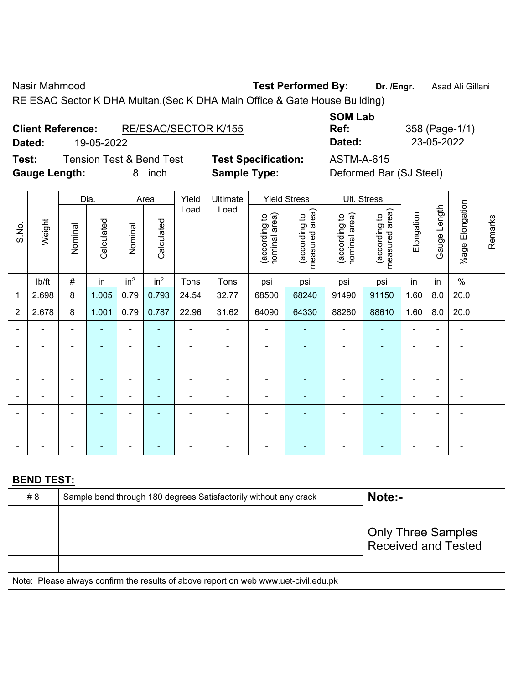Nasir Mahmood **Test Performed By:** Dr. /Engr. **Asad Ali Gillani** Associated By: Dr. /Engr. **Asad Ali Gillani** 

RE ESAC Sector K DHA Multan.(Sec K DHA Main Office & Gate House Building)

| <b>Client Reference:</b> | RE/ESAC/SECTOR K/155 |
|--------------------------|----------------------|
|                          |                      |

**Dated:** 19-05-2022 **Dated:** 23-05-2022

**Test:** Tension Test & Bend Test **Test Specification:** ASTM-A-615 **Gauge Length:** 8 inch **Sample Type:** Deformed Bar (SJ Steel)

**SOM Lab Ref:** 358 (Page-1/1)

|                |                   |                | Dia.       |                 | Area            | Yield          | Ultimate                                                                            |                                | <b>Yield Stress</b>             |                                | Ult. Stress                                             |                          |                |                              |         |
|----------------|-------------------|----------------|------------|-----------------|-----------------|----------------|-------------------------------------------------------------------------------------|--------------------------------|---------------------------------|--------------------------------|---------------------------------------------------------|--------------------------|----------------|------------------------------|---------|
| S.No.          | Weight            | Nominal        | Calculated | Nominal         | Calculated      | Load           | Load                                                                                | nominal area)<br>(according to | (according to<br>measured area) | (according to<br>nominal area) | (according to<br>measured area)                         | Elongation               | Gauge Length   | %age Elongation              | Remarks |
|                | lb/ft             | #              | in         | in <sup>2</sup> | in <sup>2</sup> | Tons           | Tons                                                                                | psi                            | psi                             | psi                            | psi                                                     | in                       | in             | $\%$                         |         |
| 1              | 2.698             | 8              | 1.005      | 0.79            | 0.793           | 24.54          | 32.77                                                                               | 68500                          | 68240                           | 91490                          | 91150                                                   | 1.60                     | 8.0            | 20.0                         |         |
| $\overline{2}$ | 2.678             | 8              | 1.001      | 0.79            | 0.787           | 22.96          | 31.62                                                                               | 64090                          | 64330                           | 88280                          | 88610                                                   | 1.60                     | 8.0            | 20.0                         |         |
|                |                   |                |            |                 |                 | $\blacksquare$ | L,                                                                                  |                                |                                 |                                |                                                         |                          |                | $\blacksquare$               |         |
|                |                   |                | ÷,         | $\blacksquare$  |                 | Ē,             | Ē,                                                                                  | $\blacksquare$                 |                                 | $\blacksquare$                 | $\blacksquare$                                          | L,                       |                | $\blacksquare$               |         |
| ٠              | ۰                 | $\blacksquare$ | ۰          | $\blacksquare$  | $\blacksquare$  | ٠              | ÷                                                                                   | $\blacksquare$                 | $\blacksquare$                  | ٠                              | $\blacksquare$                                          | $\blacksquare$           | $\blacksquare$ | $\blacksquare$               |         |
| L,             | ä,                | $\blacksquare$ | ä,         | $\blacksquare$  | ä,              | Ē,             | ä,                                                                                  | $\blacksquare$                 |                                 | ÷,                             | $\blacksquare$                                          | $\blacksquare$           | ä,             | $\qquad \qquad \blacksquare$ |         |
|                | $\blacksquare$    | ä,             | ÷,         | $\blacksquare$  | ۰               | $\blacksquare$ | Ē,                                                                                  | $\blacksquare$                 |                                 | $\blacksquare$                 | $\blacksquare$                                          | $\blacksquare$           | L.             | $\blacksquare$               |         |
|                | $\blacksquare$    |                | ÷,         | $\blacksquare$  |                 | L,             | Ē,                                                                                  | $\blacksquare$                 |                                 | ä,                             | $\blacksquare$                                          | $\overline{\phantom{a}}$ |                | $\blacksquare$               |         |
|                |                   |                |            |                 |                 |                |                                                                                     | $\blacksquare$                 |                                 |                                |                                                         |                          |                | $\blacksquare$               |         |
|                | $\blacksquare$    |                | ۰          | $\blacksquare$  | ÷               | ٠              | Ē,                                                                                  | $\overline{a}$                 | $\overline{\phantom{0}}$        | $\overline{\phantom{a}}$       | $\blacksquare$                                          | $\blacksquare$           |                | ۰                            |         |
|                |                   |                |            |                 |                 |                |                                                                                     |                                |                                 |                                |                                                         |                          |                |                              |         |
|                | <b>BEND TEST:</b> |                |            |                 |                 |                |                                                                                     |                                |                                 |                                |                                                         |                          |                |                              |         |
|                | # 8               |                |            |                 |                 |                | Sample bend through 180 degrees Satisfactorily without any crack                    |                                |                                 |                                | Note:-                                                  |                          |                |                              |         |
|                |                   |                |            |                 |                 |                |                                                                                     |                                |                                 |                                |                                                         |                          |                |                              |         |
|                |                   |                |            |                 |                 |                |                                                                                     |                                |                                 |                                | <b>Only Three Samples</b><br><b>Received and Tested</b> |                          |                |                              |         |
|                |                   |                |            |                 |                 |                |                                                                                     |                                |                                 |                                |                                                         |                          |                |                              |         |
|                |                   |                |            |                 |                 |                | Note: Please always confirm the results of above report on web www.uet-civil.edu.pk |                                |                                 |                                |                                                         |                          |                |                              |         |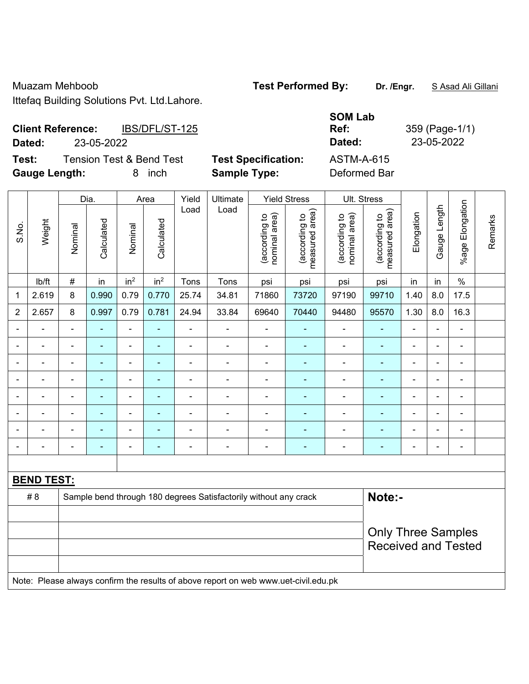Muazam Mehboob **Test Performed By: Dr. /Engr.** S Asad Ali Gillani

Ittefaq Building Solutions Pvt. Ltd.Lahore.

| <b>Client Reference:</b> | IBS/DFL/ST-125 | Ref:          | 359 (Page-1/ |
|--------------------------|----------------|---------------|--------------|
| Dated:                   | 23-05-2022     | <b>Dated:</b> | 23-05-2022   |

**Test:** Tension Test & Bend Test Test Specification: **Gauge Length:** 8 inch **Sample Type:** Deformed Bar

| 359 (Page-1/1) |
|----------------|
| 23-05-2022     |
|                |
|                |

|                   |                                                                         |                | Dia.<br>Area             |                 | Yield           | Ultimate       |       | <b>Yield Stress</b>            | Ult. Stress                     |                                |                                                         |                |                |                       |         |
|-------------------|-------------------------------------------------------------------------|----------------|--------------------------|-----------------|-----------------|----------------|-------|--------------------------------|---------------------------------|--------------------------------|---------------------------------------------------------|----------------|----------------|-----------------------|---------|
| S.No.             | Weight                                                                  | Nominal        | Calculated               | Nominal         | Calculated      | Load           | Load  | (according to<br>nominal area) | measured area)<br>(according to | (according to<br>nominal area) | (according to<br>neasured area)<br>measured             | Elongation     | Gauge Length   | Elongation<br>$%$ age | Remarks |
|                   | lb/ft                                                                   | #              | in                       | in <sup>2</sup> | in <sup>2</sup> | Tons           | Tons  | psi                            | psi                             | psi                            | psi                                                     | in             | in             | $\%$                  |         |
| $\mathbf{1}$      | 2.619                                                                   | 8              | 0.990                    | 0.79            | 0.770           | 25.74          | 34.81 | 71860                          | 73720                           | 97190                          | 99710                                                   | 1.40           | 8.0            | 17.5                  |         |
| $\overline{2}$    | 2.657                                                                   | 8              | 0.997                    | 0.79            | 0.781           | 24.94          | 33.84 | 69640                          | 70440                           | 94480                          | 95570                                                   | 1.30           | 8.0            | 16.3                  |         |
|                   |                                                                         | $\blacksquare$ |                          | $\blacksquare$  | ٠               | $\blacksquare$ |       |                                |                                 |                                | $\blacksquare$                                          | $\blacksquare$ | Ξ.             | $\blacksquare$        |         |
|                   |                                                                         |                |                          |                 |                 |                |       |                                |                                 |                                | $\blacksquare$                                          | $\blacksquare$ | $\blacksquare$ |                       |         |
|                   |                                                                         |                |                          | ۰               |                 |                |       |                                | ۰                               |                                | $\blacksquare$                                          | $\blacksquare$ | $\blacksquare$ |                       |         |
|                   |                                                                         |                | $\blacksquare$           | $\overline{a}$  | $\blacksquare$  |                |       | $\blacksquare$                 |                                 | $\overline{\phantom{0}}$       | ÷,                                                      | $\blacksquare$ | ä,             | $\blacksquare$        |         |
|                   |                                                                         | $\blacksquare$ | $\overline{\phantom{0}}$ | ۰               | ٠               |                | ÷     | $\blacksquare$                 |                                 |                                | $\blacksquare$                                          | $\blacksquare$ | $\blacksquare$ | $\blacksquare$        |         |
|                   |                                                                         |                |                          | $\blacksquare$  | ٠               |                |       |                                |                                 |                                | $\blacksquare$                                          | $\blacksquare$ | $\blacksquare$ |                       |         |
|                   |                                                                         |                |                          |                 |                 |                |       |                                |                                 |                                |                                                         | $\blacksquare$ | $\blacksquare$ |                       |         |
|                   |                                                                         |                |                          | $\blacksquare$  | ۰               |                |       |                                |                                 |                                | $\overline{\phantom{0}}$                                | $\overline{a}$ | $\blacksquare$ | ٠                     |         |
|                   |                                                                         |                |                          |                 |                 |                |       |                                |                                 |                                |                                                         |                |                |                       |         |
| <b>BEND TEST:</b> |                                                                         |                |                          |                 |                 |                |       |                                |                                 |                                |                                                         |                |                |                       |         |
|                   | # 8<br>Sample bend through 180 degrees Satisfactorily without any crack |                |                          |                 |                 |                |       |                                |                                 | Note:-                         |                                                         |                |                |                       |         |
|                   |                                                                         |                |                          |                 |                 |                |       |                                |                                 |                                |                                                         |                |                |                       |         |
|                   |                                                                         |                |                          |                 |                 |                |       |                                |                                 |                                | <b>Only Three Samples</b><br><b>Received and Tested</b> |                |                |                       |         |

Note: Please always confirm the results of above report on web www.uet-civil.edu.pk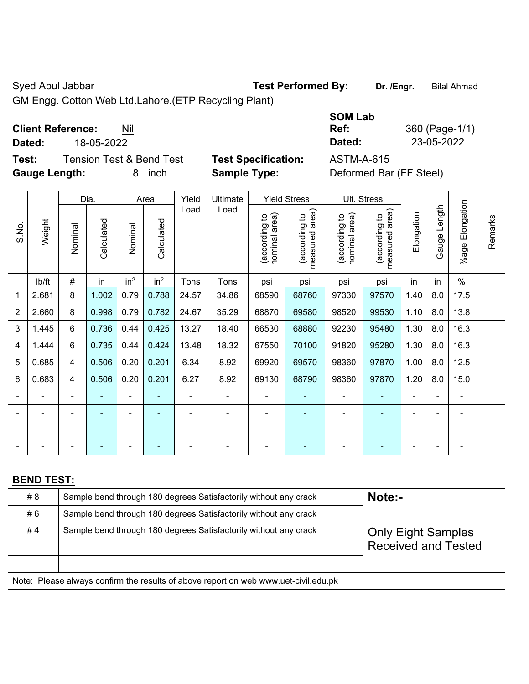Syed Abul Jabbar **Test Performed By:** Dr. /Engr. **Bilal Ahmad** 

GM Engg. Cotton Web Ltd.Lahore.(ETP Recycling Plant)

**Client Reference:** Nil

**Test:** Tension Test & Bend Test **Test Specification:** ASTM-A-615 **Gauge Length:** 8 inch **Sample Type:** Deformed Bar (FF Steel)

**SOM Lab Ref:** 360 (Page-1/1) **Dated:** 18-05-2022 **Dated:** 23-05-2022

|                                                                        |                   | Dia.           |                | Area                     |                 | Yield | Ultimate                                                                            |                                | <b>Yield Stress</b>             | Ult. Stress                    |                                 |            |              |                       |         |  |
|------------------------------------------------------------------------|-------------------|----------------|----------------|--------------------------|-----------------|-------|-------------------------------------------------------------------------------------|--------------------------------|---------------------------------|--------------------------------|---------------------------------|------------|--------------|-----------------------|---------|--|
| S.No.                                                                  | Weight            | Nominal        | Calculated     | Nominal                  | Calculated      | Load  | Load                                                                                | (according to<br>nominal area) | (according to<br>measured area) | (according to<br>nominal area) | (according to<br>measured area) | Elongation | Gauge Length | Elongation<br>$%$ age | Remarks |  |
|                                                                        | lb/ft             | $\#$           | in             | in <sup>2</sup>          | in <sup>2</sup> | Tons  | Tons                                                                                | psi                            | psi                             | psi                            | psi                             | in         | in           | $\%$                  |         |  |
| 1                                                                      | 2.681             | 8              | 1.002          | 0.79                     | 0.788           | 24.57 | 34.86                                                                               | 68590                          | 68760                           | 97330                          | 97570                           | 1.40       | 8.0          | 17.5                  |         |  |
| $\overline{2}$                                                         | 2.660             | 8              | 0.998          | 0.79                     | 0.782           | 24.67 | 35.29                                                                               | 68870                          | 69580                           | 98520                          | 99530                           | 1.10       | 8.0          | 13.8                  |         |  |
| 3                                                                      | 1.445             | 6              | 0.736          | 0.44                     | 0.425           | 13.27 | 18.40                                                                               | 66530                          | 68880                           | 92230                          | 95480                           | 1.30       | 8.0          | 16.3                  |         |  |
| 4                                                                      | 1.444             | $6\phantom{1}$ | 0.735          | 0.44                     | 0.424           | 13.48 | 18.32                                                                               | 67550                          | 70100                           | 91820                          | 95280                           | 1.30       | 8.0          | 16.3                  |         |  |
| 5                                                                      | 0.685             | 4              | 0.506          | 0.20                     | 0.201           | 6.34  | 8.92                                                                                | 69920                          | 69570                           | 98360                          | 97870                           | 1.00       | 8.0          | 12.5                  |         |  |
| 6                                                                      | 0.683             | 4              | 0.506          | 0.20                     | 0.201           | 6.27  | 8.92                                                                                | 69130                          | 68790                           | 98360                          | 97870                           | 1.20       | 8.0          | 15.0                  |         |  |
|                                                                        |                   | $\blacksquare$ |                |                          |                 |       |                                                                                     | L,                             |                                 |                                | $\blacksquare$                  |            |              | $\blacksquare$        |         |  |
|                                                                        |                   |                |                |                          |                 |       |                                                                                     | L,                             | ä,                              |                                | ä,                              |            |              | ä,                    |         |  |
|                                                                        |                   |                |                |                          |                 |       |                                                                                     |                                |                                 |                                |                                 |            |              |                       |         |  |
| $\blacksquare$                                                         |                   | $\blacksquare$ | $\blacksquare$ | $\overline{\phantom{a}}$ | ÷,              |       | $\blacksquare$                                                                      | $\blacksquare$                 | $\blacksquare$                  | $\blacksquare$                 | ٠                               |            |              | $\blacksquare$        |         |  |
|                                                                        |                   |                |                |                          |                 |       |                                                                                     |                                |                                 |                                |                                 |            |              |                       |         |  |
|                                                                        | <b>BEND TEST:</b> |                |                |                          |                 |       |                                                                                     |                                |                                 |                                |                                 |            |              |                       |         |  |
|                                                                        | # 8               |                |                |                          |                 |       | Sample bend through 180 degrees Satisfactorily without any crack                    |                                |                                 |                                | Note:-                          |            |              |                       |         |  |
|                                                                        | #6                |                |                |                          |                 |       | Sample bend through 180 degrees Satisfactorily without any crack                    |                                |                                 |                                |                                 |            |              |                       |         |  |
| #4<br>Sample bend through 180 degrees Satisfactorily without any crack |                   |                |                |                          |                 |       |                                                                                     |                                |                                 |                                | <b>Only Eight Samples</b>       |            |              |                       |         |  |
|                                                                        |                   |                |                |                          |                 |       |                                                                                     |                                |                                 | <b>Received and Tested</b>     |                                 |            |              |                       |         |  |
|                                                                        |                   |                |                |                          |                 |       |                                                                                     |                                |                                 |                                |                                 |            |              |                       |         |  |
|                                                                        |                   |                |                |                          |                 |       | Note: Please always confirm the results of above report on web www.uet-civil.edu.pk |                                |                                 |                                |                                 |            |              |                       |         |  |